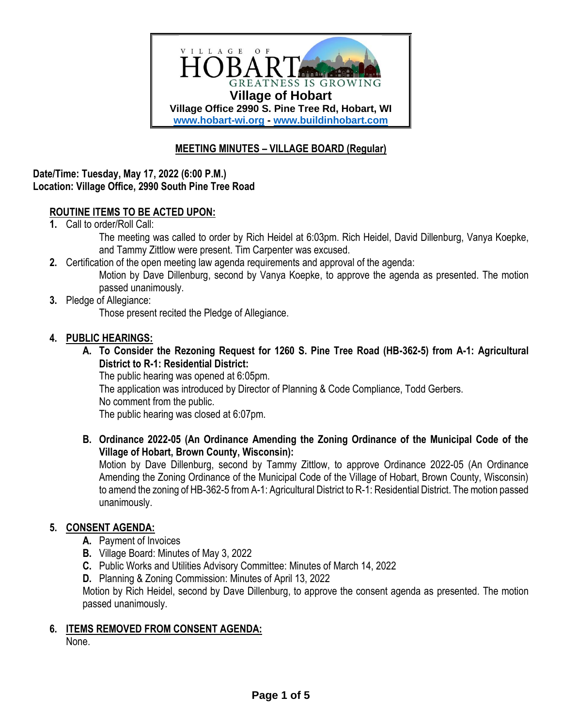

# **MEETING MINUTES – VILLAGE BOARD (Regular)**

### **Date/Time: Tuesday, May 17, 2022 (6:00 P.M.) Location: Village Office, 2990 South Pine Tree Road**

## **ROUTINE ITEMS TO BE ACTED UPON:**

**1.** Call to order/Roll Call:

The meeting was called to order by Rich Heidel at 6:03pm. Rich Heidel, David Dillenburg, Vanya Koepke, and Tammy Zittlow were present. Tim Carpenter was excused.

- **2.** Certification of the open meeting law agenda requirements and approval of the agenda: Motion by Dave Dillenburg, second by Vanya Koepke, to approve the agenda as presented. The motion passed unanimously.
- **3.** Pledge of Allegiance:

Those present recited the Pledge of Allegiance.

## **4. PUBLIC HEARINGS:**

**A. To Consider the Rezoning Request for 1260 S. Pine Tree Road (HB-362-5) from A-1: Agricultural District to R-1: Residential District:**

The public hearing was opened at 6:05pm. The application was introduced by Director of Planning & Code Compliance, Todd Gerbers. No comment from the public. The public hearing was closed at 6:07pm.

**B. Ordinance 2022-05 (An Ordinance Amending the Zoning Ordinance of the Municipal Code of the Village of Hobart, Brown County, Wisconsin):**

Motion by Dave Dillenburg, second by Tammy Zittlow, to approve Ordinance 2022-05 (An Ordinance Amending the Zoning Ordinance of the Municipal Code of the Village of Hobart, Brown County, Wisconsin) to amend the zoning of HB-362-5 from A-1: Agricultural District to R-1: Residential District. The motion passed unanimously.

#### **5. CONSENT AGENDA:**

- **A.** Payment of Invoices
- **B.** Village Board: Minutes of May 3, 2022
- **C.** Public Works and Utilities Advisory Committee: Minutes of March 14, 2022
- **D.** Planning & Zoning Commission: Minutes of April 13, 2022

Motion by Rich Heidel, second by Dave Dillenburg, to approve the consent agenda as presented. The motion passed unanimously.

#### **6. ITEMS REMOVED FROM CONSENT AGENDA:**

None.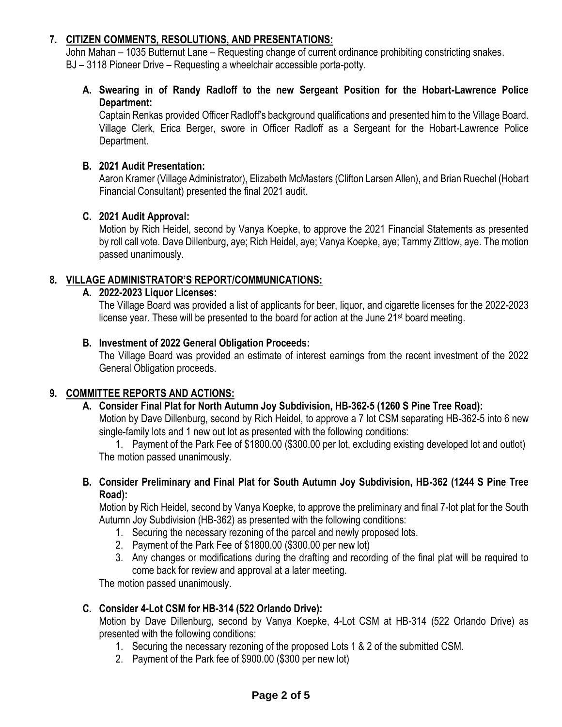# **7. CITIZEN COMMENTS, RESOLUTIONS, AND PRESENTATIONS:**

John Mahan – 1035 Butternut Lane – Requesting change of current ordinance prohibiting constricting snakes. BJ – 3118 Pioneer Drive – Requesting a wheelchair accessible porta-potty.

**A. Swearing in of Randy Radloff to the new Sergeant Position for the Hobart-Lawrence Police Department:**

Captain Renkas provided Officer Radloff's background qualifications and presented him to the Village Board. Village Clerk, Erica Berger, swore in Officer Radloff as a Sergeant for the Hobart-Lawrence Police Department.

## **B. 2021 Audit Presentation:**

Aaron Kramer (Village Administrator), Elizabeth McMasters (Clifton Larsen Allen), and Brian Ruechel (Hobart Financial Consultant) presented the final 2021 audit.

## **C. 2021 Audit Approval:**

Motion by Rich Heidel, second by Vanya Koepke, to approve the 2021 Financial Statements as presented by roll call vote. Dave Dillenburg, aye; Rich Heidel, aye; Vanya Koepke, aye; Tammy Zittlow, aye. The motion passed unanimously.

## **8. VILLAGE ADMINISTRATOR'S REPORT/COMMUNICATIONS:**

## **A. 2022-2023 Liquor Licenses:**

The Village Board was provided a list of applicants for beer, liquor, and cigarette licenses for the 2022-2023 license year. These will be presented to the board for action at the June 21<sup>st</sup> board meeting.

## **B. Investment of 2022 General Obligation Proceeds:**

The Village Board was provided an estimate of interest earnings from the recent investment of the 2022 General Obligation proceeds.

#### **9. COMMITTEE REPORTS AND ACTIONS:**

#### **A. Consider Final Plat for North Autumn Joy Subdivision, HB-362-5 (1260 S Pine Tree Road):**

Motion by Dave Dillenburg, second by Rich Heidel, to approve a 7 lot CSM separating HB-362-5 into 6 new single-family lots and 1 new out lot as presented with the following conditions:

1. Payment of the Park Fee of \$1800.00 (\$300.00 per lot, excluding existing developed lot and outlot) The motion passed unanimously.

**B. Consider Preliminary and Final Plat for South Autumn Joy Subdivision, HB-362 (1244 S Pine Tree Road):**

Motion by Rich Heidel, second by Vanya Koepke, to approve the preliminary and final 7-lot plat for the South Autumn Joy Subdivision (HB-362) as presented with the following conditions:

- 1. Securing the necessary rezoning of the parcel and newly proposed lots.
- 2. Payment of the Park Fee of \$1800.00 (\$300.00 per new lot)
- 3. Any changes or modifications during the drafting and recording of the final plat will be required to come back for review and approval at a later meeting.

The motion passed unanimously.

#### **C. Consider 4-Lot CSM for HB-314 (522 Orlando Drive):**

Motion by Dave Dillenburg, second by Vanya Koepke, 4-Lot CSM at HB-314 (522 Orlando Drive) as presented with the following conditions:

- 1. Securing the necessary rezoning of the proposed Lots 1 & 2 of the submitted CSM.
- 2. Payment of the Park fee of \$900.00 (\$300 per new lot)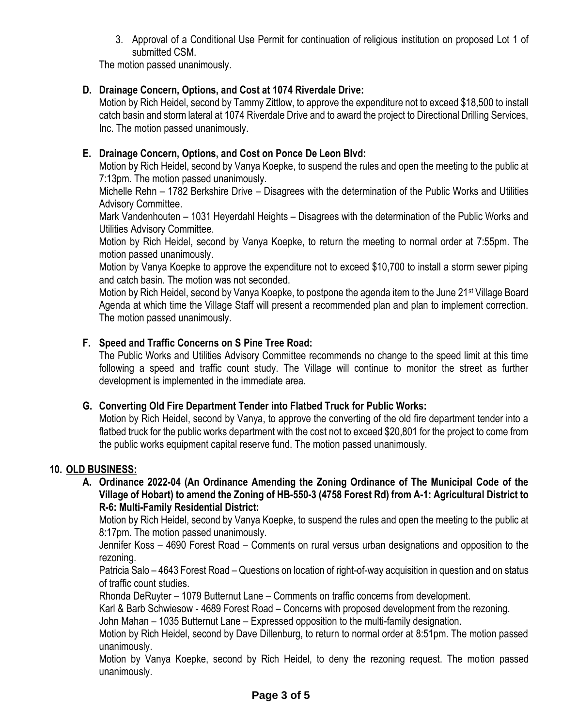3. Approval of a Conditional Use Permit for continuation of religious institution on proposed Lot 1 of submitted CSM.

The motion passed unanimously.

# **D. Drainage Concern, Options, and Cost at 1074 Riverdale Drive:**

Motion by Rich Heidel, second by Tammy Zittlow, to approve the expenditure not to exceed \$18,500 to install catch basin and storm lateral at 1074 Riverdale Drive and to award the project to Directional Drilling Services, Inc. The motion passed unanimously.

# **E. Drainage Concern, Options, and Cost on Ponce De Leon Blvd:**

Motion by Rich Heidel, second by Vanya Koepke, to suspend the rules and open the meeting to the public at 7:13pm. The motion passed unanimously.

Michelle Rehn – 1782 Berkshire Drive – Disagrees with the determination of the Public Works and Utilities Advisory Committee.

Mark Vandenhouten – 1031 Heyerdahl Heights – Disagrees with the determination of the Public Works and Utilities Advisory Committee.

Motion by Rich Heidel, second by Vanya Koepke, to return the meeting to normal order at 7:55pm. The motion passed unanimously.

Motion by Vanya Koepke to approve the expenditure not to exceed \$10,700 to install a storm sewer piping and catch basin. The motion was not seconded.

Motion by Rich Heidel, second by Vanya Koepke, to postpone the agenda item to the June 21st Village Board Agenda at which time the Village Staff will present a recommended plan and plan to implement correction. The motion passed unanimously.

# **F. Speed and Traffic Concerns on S Pine Tree Road:**

The Public Works and Utilities Advisory Committee recommends no change to the speed limit at this time following a speed and traffic count study. The Village will continue to monitor the street as further development is implemented in the immediate area.

## **G. Converting Old Fire Department Tender into Flatbed Truck for Public Works:**

Motion by Rich Heidel, second by Vanya, to approve the converting of the old fire department tender into a flatbed truck for the public works department with the cost not to exceed \$20,801 for the project to come from the public works equipment capital reserve fund. The motion passed unanimously.

## **10. OLD BUSINESS:**

#### **A. Ordinance 2022-04 (An Ordinance Amending the Zoning Ordinance of The Municipal Code of the Village of Hobart) to amend the Zoning of HB-550-3 (4758 Forest Rd) from A-1: Agricultural District to R-6: Multi-Family Residential District:**

Motion by Rich Heidel, second by Vanya Koepke, to suspend the rules and open the meeting to the public at 8:17pm. The motion passed unanimously.

Jennifer Koss – 4690 Forest Road – Comments on rural versus urban designations and opposition to the rezoning.

Patricia Salo – 4643 Forest Road – Questions on location of right-of-way acquisition in question and on status of traffic count studies.

Rhonda DeRuyter – 1079 Butternut Lane – Comments on traffic concerns from development.

Karl & Barb Schwiesow - 4689 Forest Road – Concerns with proposed development from the rezoning.

John Mahan – 1035 Butternut Lane – Expressed opposition to the multi-family designation.

Motion by Rich Heidel, second by Dave Dillenburg, to return to normal order at 8:51pm. The motion passed unanimously.

Motion by Vanya Koepke, second by Rich Heidel, to deny the rezoning request. The motion passed unanimously.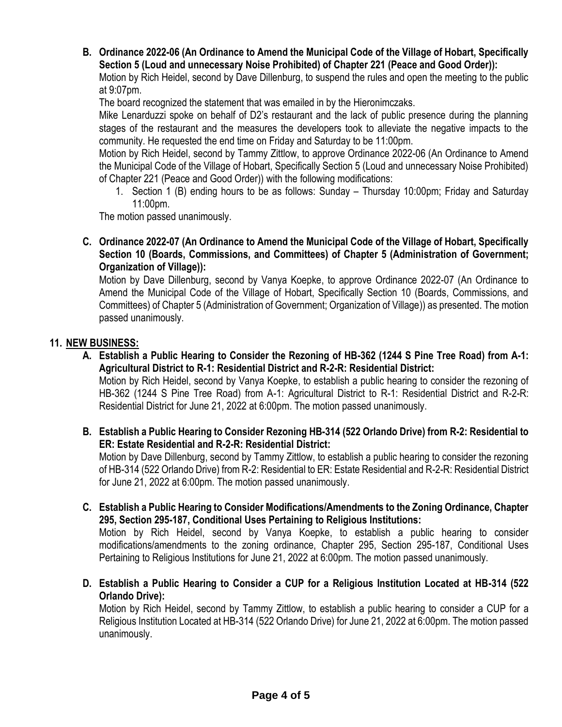**B. Ordinance 2022-06 (An Ordinance to Amend the Municipal Code of the Village of Hobart, Specifically Section 5 (Loud and unnecessary Noise Prohibited) of Chapter 221 (Peace and Good Order)):**

Motion by Rich Heidel, second by Dave Dillenburg, to suspend the rules and open the meeting to the public at 9:07pm.

The board recognized the statement that was emailed in by the Hieronimczaks.

Mike Lenarduzzi spoke on behalf of D2's restaurant and the lack of public presence during the planning stages of the restaurant and the measures the developers took to alleviate the negative impacts to the community. He requested the end time on Friday and Saturday to be 11:00pm.

Motion by Rich Heidel, second by Tammy Zittlow, to approve Ordinance 2022-06 (An Ordinance to Amend the Municipal Code of the Village of Hobart, Specifically Section 5 (Loud and unnecessary Noise Prohibited) of Chapter 221 (Peace and Good Order)) with the following modifications:

1. Section 1 (B) ending hours to be as follows: Sunday – Thursday 10:00pm; Friday and Saturday 11:00pm.

The motion passed unanimously.

**C. Ordinance 2022-07 (An Ordinance to Amend the Municipal Code of the Village of Hobart, Specifically Section 10 (Boards, Commissions, and Committees) of Chapter 5 (Administration of Government; Organization of Village)):**

Motion by Dave Dillenburg, second by Vanya Koepke, to approve Ordinance 2022-07 (An Ordinance to Amend the Municipal Code of the Village of Hobart, Specifically Section 10 (Boards, Commissions, and Committees) of Chapter 5 (Administration of Government; Organization of Village)) as presented. The motion passed unanimously.

## **11. NEW BUSINESS:**

**A. Establish a Public Hearing to Consider the Rezoning of HB-362 (1244 S Pine Tree Road) from A-1: Agricultural District to R-1: Residential District and R-2-R: Residential District:**

Motion by Rich Heidel, second by Vanya Koepke, to establish a public hearing to consider the rezoning of HB-362 (1244 S Pine Tree Road) from A-1: Agricultural District to R-1: Residential District and R-2-R: Residential District for June 21, 2022 at 6:00pm. The motion passed unanimously.

**B. Establish a Public Hearing to Consider Rezoning HB-314 (522 Orlando Drive) from R-2: Residential to ER: Estate Residential and R-2-R: Residential District:** 

Motion by Dave Dillenburg, second by Tammy Zittlow, to establish a public hearing to consider the rezoning of HB-314 (522 Orlando Drive) from R-2: Residential to ER: Estate Residential and R-2-R: Residential District for June 21, 2022 at 6:00pm. The motion passed unanimously.

**C. Establish a Public Hearing to Consider Modifications/Amendments to the Zoning Ordinance, Chapter 295, Section 295-187, Conditional Uses Pertaining to Religious Institutions:**

Motion by Rich Heidel, second by Vanya Koepke, to establish a public hearing to consider modifications/amendments to the zoning ordinance, Chapter 295, Section 295-187, Conditional Uses Pertaining to Religious Institutions for June 21, 2022 at 6:00pm. The motion passed unanimously.

**D. Establish a Public Hearing to Consider a CUP for a Religious Institution Located at HB-314 (522 Orlando Drive):**

Motion by Rich Heidel, second by Tammy Zittlow, to establish a public hearing to consider a CUP for a Religious Institution Located at HB-314 (522 Orlando Drive) for June 21, 2022 at 6:00pm. The motion passed unanimously.